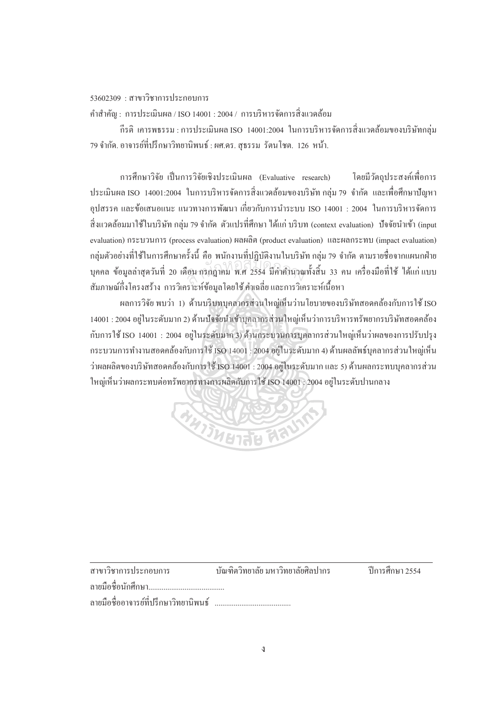## $53602309 : \pi$ าขาวิชาการประกอบการ

คำสำคัญ : การประเมินผล / ISO 14001 : 2004 / การบริหารจัดการสิ่งแวดล้อม

์กีรติ เคารพธรรม : การประเมินผล ISO 14001:2004 ในการบริหารจัดการสิ่งแวดล้อมของบริษัทกล่ม 79 จำกัด. อาจารย์ที่ปรึกษาวิทยานิพนธ์ : ผศ.ดร. สธรรม รัตนโชต. 126 หน้า.

การศึกษาวิจัย เป็นการวิจัยเชิงประเมินผล (Evaluative research) โดยมีวัตถุประสงค์เพื่อการ ประเมินผล ISO 14001:2004 ในการบริหารจัดการสิ่งแวดล้อมของบริษัท กลุ่ม 79 จำกัด และเพื่อศึกษาปัญหา ºÉ อุปสรรค และข้อเสนอแนะ แนวทางการพัฒนา เกี่ยวกับการนำระบบ ISO 14001 : 2004 ในการบริหารจัดการ ้สิ่งแวดล้อมมาใช้ในบริษัท กล่ม 79 จำกัด ตัวแปรที่ศึกษา ได้แก่ บริบท (context evaluation) ปัจจัยนำเข้า (input evaluation) กระบวนการ (process evaluation) ผลผลิต (product evaluation) และผลกระทบ (impact evaluation) กลุ่มตัวอย่างที่ใช้ในการศึกษาครั้งนี้ คือ พนักงานที่ปฏิบัติงานในบริษัท กลุ่ม 79 จำกัด ตามรายชื่อจากแผนกฝ่าย บุคคล ข้อมูลล่าสุดวันที่ 20 เดือน กรกฎาคม พ.ศ 2554 มีค่าดำนวณทั้งสิ้น 33 คน เครื่องมือที่ใช้ ได้แก่แบบ<br>จั ºÉ สัมภาษณ์กึ่งโครงสร้าง การวิเคราะห์ข้อมูลโดยใช้ ค่าเฉลี่ยและการวิเคราะห์เนื้อหา

ผลการวิจัย พบว่า 1) ด้านบริบทบุคลากรส่วนใหญ่เห็นว่านโยบายของบริษัทสอดคล้องกับการใช้ ISO 14001 : 2004 อยู่ในระดับมาก 2) ด้านปัจจัยนำเข้าบุคลากรส่วนใหญ่เห็นว่าการบริหารทรัพยากรบริษัทสอดคล้อง กับการใช้ ISO 14001 : 2004 อย่ในระดับมาก 3) ด้านกระบวนการบลลากรส่วนใหญ่เห็นว่าผลของการปรับปรง กระบวนการทำงานสอดกล้องกับการใช้ ISO 14001 : 2004 อยู่ในระดับมาก 4) ด้านผลลัพธ์บุคลากรส่วนใหญ่เห็น  $^{\prime}$ ว่าผลผลิตของบริษัทสอดกล้องกับการใช้ ISO 14001 : 2004 อยู่ในระดับมาก และ 5) ด้านผลกระทบบุกลากรส่วน ใหญ่เห็นว่าผลกระทบต่อทรัพยากรทางการผลิตกับการใช้ ISO 14001 : 2004 อย่ในระดับปานกลาง



| สาขาวิชาการประกอบการ                  | บัณฑิตวิทยาลัย มหาวิทยาลัยศิลปากร | ์ ปีการศึกษา 2554 |
|---------------------------------------|-----------------------------------|-------------------|
| ิลายมือชื่อนักศึกษา                   |                                   |                   |
| ลายมือชื่ออาจารย์ที่ปรึกษาวิทยานิพนธ์ |                                   |                   |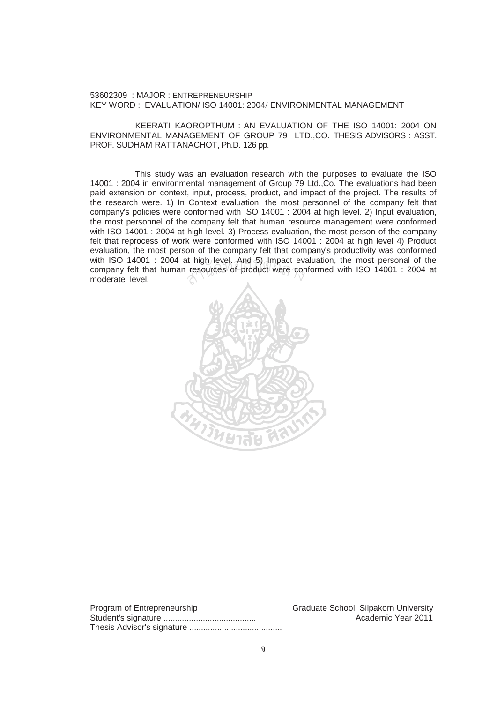53602309 : MAJOR : ENTREPRENEURSHIP KEY WORD : EVALUATION/ ISO 14001: 2004/ ENVIRONMENTAL MANAGEMENT

 KEERATI KAOROPTHUM : AN EVALUATION OF THE ISO 14001: 2004 ON ENVIRONMENTAL MANAGEMENT OF GROUP 79 LTD.,CO. THESIS ADVISORS : ASST. PROF. SUDHAM RATTANACHOT, Ph.D. 126 pp.

 This study was an evaluation research with the purposes to evaluate the ISO 14001 : 2004 in environmental management of Group 79 Ltd.,Co. The evaluations had been paid extension on context, input, process, product, and impact of the project. The results of the research were. 1) In Context evaluation, the most personnel of the company felt that company's policies were conformed with ISO 14001 : 2004 at high level. 2) Input evaluation, the most personnel of the company felt that human resource management were conformed with ISO 14001 : 2004 at high level. 3) Process evaluation, the most person of the company felt that reprocess of work were conformed with ISO 14001 : 2004 at high level 4) Product evaluation, the most person of the company felt that company's productivity was conformed with ISO 14001 : 2004 at high level. And 5) Impact evaluation, the most personal of the company felt that human resources of product were conformed with ISO 14001 : 2004 at moderate level. resources of product were con



| Program of Entrepreneurship |
|-----------------------------|
|                             |
|                             |

Graduate School, Silpakorn University Academic Year 2011